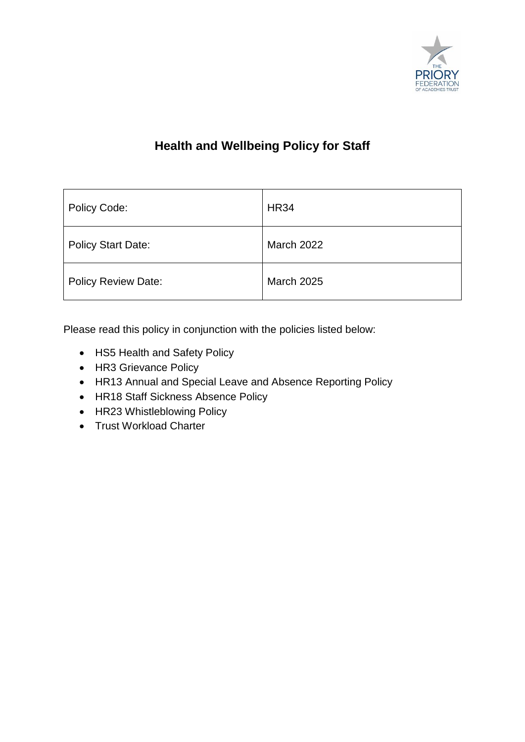

# **Health and Wellbeing Policy for Staff**

| Policy Code:               | <b>HR34</b>       |
|----------------------------|-------------------|
| <b>Policy Start Date:</b>  | <b>March 2022</b> |
| <b>Policy Review Date:</b> | <b>March 2025</b> |

Please read this policy in conjunction with the policies listed below:

- HS5 Health and Safety Policy
- HR3 Grievance Policy
- HR13 Annual and Special Leave and Absence Reporting Policy
- HR18 Staff Sickness Absence Policy
- HR23 Whistleblowing Policy
- Trust Workload Charter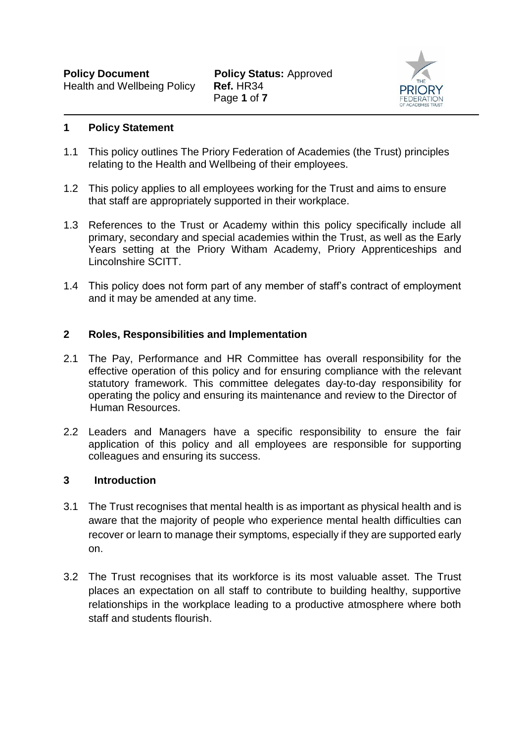

#### **1 Policy Statement**

- 1.1 This policy outlines The Priory Federation of Academies (the Trust) principles relating to the Health and Wellbeing of their employees.
- 1.2 This policy applies to all employees working for the Trust and aims to ensure that staff are appropriately supported in their workplace.
- 1.3 References to the Trust or Academy within this policy specifically include all primary, secondary and special academies within the Trust, as well as the Early Years setting at the Priory Witham Academy, Priory Apprenticeships and Lincolnshire SCITT.
- 1.4 This policy does not form part of any member of staff's contract of employment and it may be amended at any time.

#### **2 Roles, Responsibilities and Implementation**

- 2.1 The Pay, Performance and HR Committee has overall responsibility for the effective operation of this policy and for ensuring compliance with the relevant statutory framework. This committee delegates day-to-day responsibility for operating the policy and ensuring its maintenance and review to the Director of Human Resources.
- 2.2 Leaders and Managers have a specific responsibility to ensure the fair application of this policy and all employees are responsible for supporting colleagues and ensuring its success.

#### **3 Introduction**

- 3.1 The Trust recognises that mental health is as important as physical health and is aware that the majority of people who experience mental health difficulties can recover or learn to manage their symptoms, especially if they are supported early on.
- 3.2 The Trust recognises that its workforce is its most valuable asset. The Trust places an expectation on all staff to contribute to building healthy, supportive relationships in the workplace leading to a productive atmosphere where both staff and students flourish.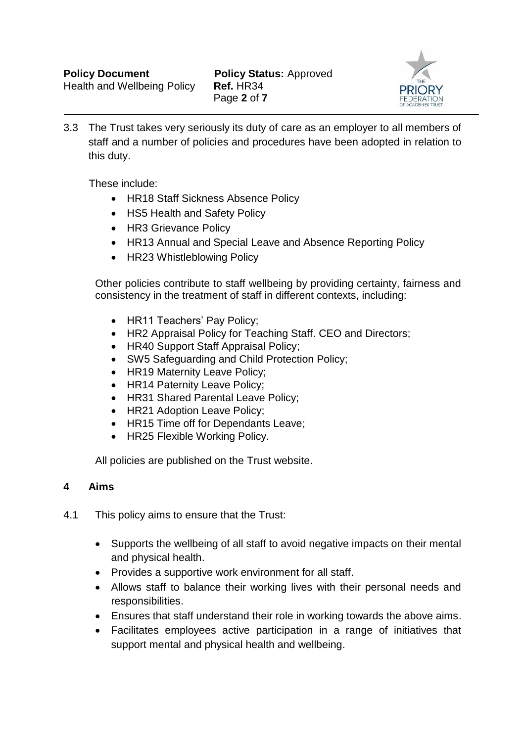

3.3 The Trust takes very seriously its duty of care as an employer to all members of staff and a number of policies and procedures have been adopted in relation to this duty.

These include:

- HR18 Staff Sickness Absence Policy
- HS5 Health and Safety Policy
- HR3 Grievance Policy
- HR13 Annual and Special Leave and Absence Reporting Policy
- HR23 Whistleblowing Policy

Other policies contribute to staff wellbeing by providing certainty, fairness and consistency in the treatment of staff in different contexts, including:

- HR11 Teachers' Pay Policy;
- HR2 Appraisal Policy for Teaching Staff. CEO and Directors;
- HR40 Support Staff Appraisal Policy;
- SW5 Safeguarding and Child Protection Policy;
- HR19 Maternity Leave Policy;
- HR14 Paternity Leave Policy;
- HR31 Shared Parental Leave Policy;
- HR21 Adoption Leave Policy;
- HR15 Time off for Dependants Leave;
- HR25 Flexible Working Policy.

All policies are published on the Trust website.

#### **4 Aims**

- 4.1 This policy aims to ensure that the Trust:
	- Supports the wellbeing of all staff to avoid negative impacts on their mental and physical health.
	- Provides a supportive work environment for all staff.
	- Allows staff to balance their working lives with their personal needs and responsibilities.
	- Ensures that staff understand their role in working towards the above aims.
	- Facilitates employees active participation in a range of initiatives that support mental and physical health and wellbeing.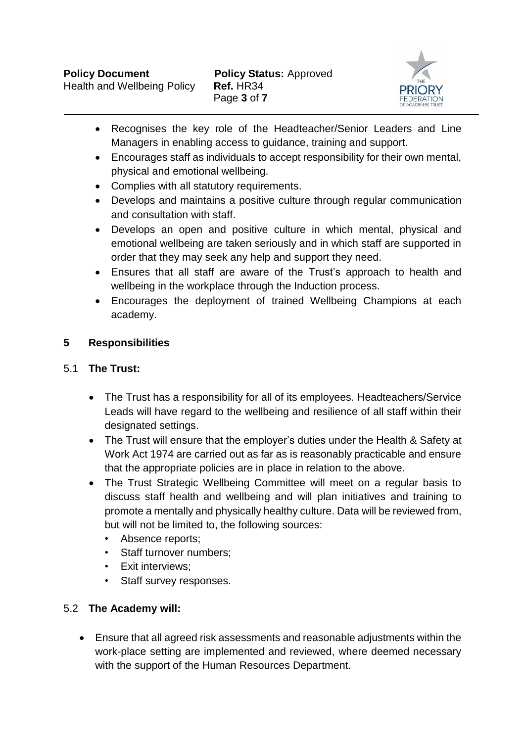

- Recognises the key role of the Headteacher/Senior Leaders and Line Managers in enabling access to guidance, training and support.
- Encourages staff as individuals to accept responsibility for their own mental, physical and emotional wellbeing.
- Complies with all statutory requirements.
- Develops and maintains a positive culture through regular communication and consultation with staff.
- Develops an open and positive culture in which mental, physical and emotional wellbeing are taken seriously and in which staff are supported in order that they may seek any help and support they need.
- Ensures that all staff are aware of the Trust's approach to health and wellbeing in the workplace through the Induction process.
- Encourages the deployment of trained Wellbeing Champions at each academy.

# **5 Responsibilities**

# 5.1 **The Trust:**

- The Trust has a responsibility for all of its employees. Headteachers/Service Leads will have regard to the wellbeing and resilience of all staff within their designated settings.
- The Trust will ensure that the employer's duties under the Health & Safety at Work Act 1974 are carried out as far as is reasonably practicable and ensure that the appropriate policies are in place in relation to the above.
- The Trust Strategic Wellbeing Committee will meet on a regular basis to discuss staff health and wellbeing and will plan initiatives and training to promote a mentally and physically healthy culture. Data will be reviewed from, but will not be limited to, the following sources:
	- Absence reports;
	- Staff turnover numbers;
	- Exit interviews;
	- Staff survey responses.

# 5.2 **The Academy will:**

 Ensure that all agreed risk assessments and reasonable adjustments within the work-place setting are implemented and reviewed, where deemed necessary with the support of the Human Resources Department.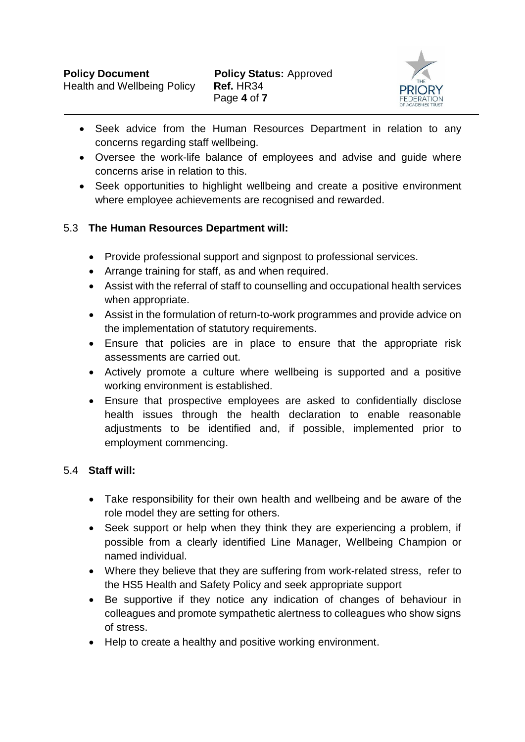

- Seek advice from the Human Resources Department in relation to any concerns regarding staff wellbeing.
- Oversee the work-life balance of employees and advise and guide where concerns arise in relation to this.
- Seek opportunities to highlight wellbeing and create a positive environment where employee achievements are recognised and rewarded.

# 5.3 **The Human Resources Department will:**

- Provide professional support and signpost to professional services.
- Arrange training for staff, as and when required.
- Assist with the referral of staff to counselling and occupational health services when appropriate.
- Assist in the formulation of return-to-work programmes and provide advice on the implementation of statutory requirements.
- Ensure that policies are in place to ensure that the appropriate risk assessments are carried out.
- Actively promote a culture where wellbeing is supported and a positive working environment is established.
- Ensure that prospective employees are asked to confidentially disclose health issues through the health declaration to enable reasonable adjustments to be identified and, if possible, implemented prior to employment commencing.

# 5.4 **Staff will:**

- Take responsibility for their own health and wellbeing and be aware of the role model they are setting for others.
- Seek support or help when they think they are experiencing a problem, if possible from a clearly identified Line Manager, Wellbeing Champion or named individual.
- Where they believe that they are suffering from work-related stress, refer to the HS5 Health and Safety Policy and seek appropriate support
- Be supportive if they notice any indication of changes of behaviour in colleagues and promote sympathetic alertness to colleagues who show signs of stress.
- Help to create a healthy and positive working environment.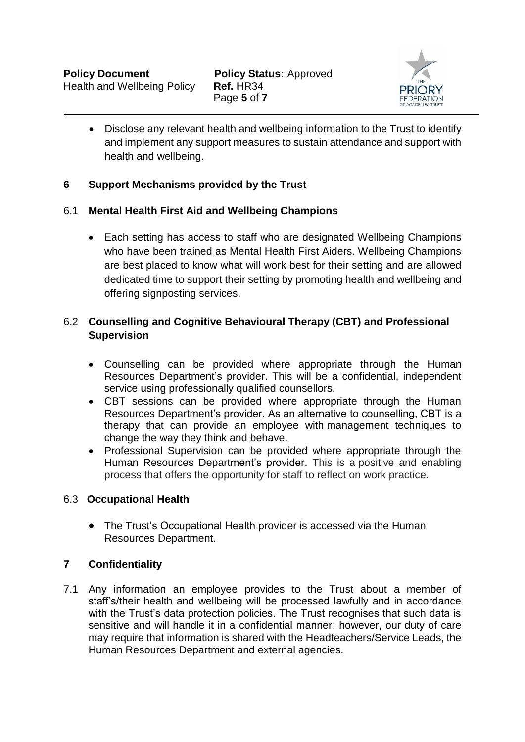

 Disclose any relevant health and wellbeing information to the Trust to identify and implement any support measures to sustain attendance and support with health and wellbeing.

## **6 Support Mechanisms provided by the Trust**

#### 6.1 **Mental Health First Aid and Wellbeing Champions**

 Each setting has access to staff who are designated Wellbeing Champions who have been trained as Mental Health First Aiders. Wellbeing Champions are best placed to know what will work best for their setting and are allowed dedicated time to support their setting by promoting health and wellbeing and offering signposting services.

## 6.2 **Counselling and Cognitive Behavioural Therapy (CBT) and Professional Supervision**

- Counselling can be provided where appropriate through the Human Resources Department's provider. This will be a confidential, independent service using professionally qualified counsellors.
- CBT sessions can be provided where appropriate through the Human Resources Department's provider. As an alternative to counselling, CBT is a therapy that can provide an employee with management techniques to change the way they think and behave.
- Professional Supervision can be provided where appropriate through the Human Resources Department's provider. This is a positive and enabling process that offers the opportunity for staff to reflect on work practice.

#### 6.3 **Occupational Health**

 The Trust's Occupational Health provider is accessed via the Human Resources Department.

#### **7 Confidentiality**

7.1 Any information an employee provides to the Trust about a member of staff's/their health and wellbeing will be processed lawfully and in accordance with the Trust's data protection policies. The Trust recognises that such data is sensitive and will handle it in a confidential manner: however, our duty of care may require that information is shared with the Headteachers/Service Leads, the Human Resources Department and external agencies.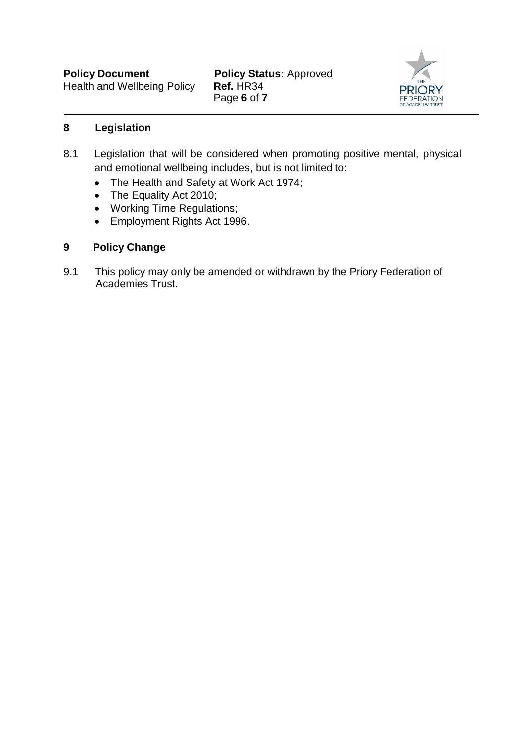Page **6** of **7**



#### **8 Legislation**

- 8.1 Legislation that will be considered when promoting positive mental, physical and emotional wellbeing includes, but is not limited to:
	- The Health and Safety at Work Act 1974;
	- The Equality Act 2010;
	- Working Time Regulations;
	- Employment Rights Act 1996.

# **9 Policy Change**

9.1 This policy may only be amended or withdrawn by the Priory Federation of Academies Trust.